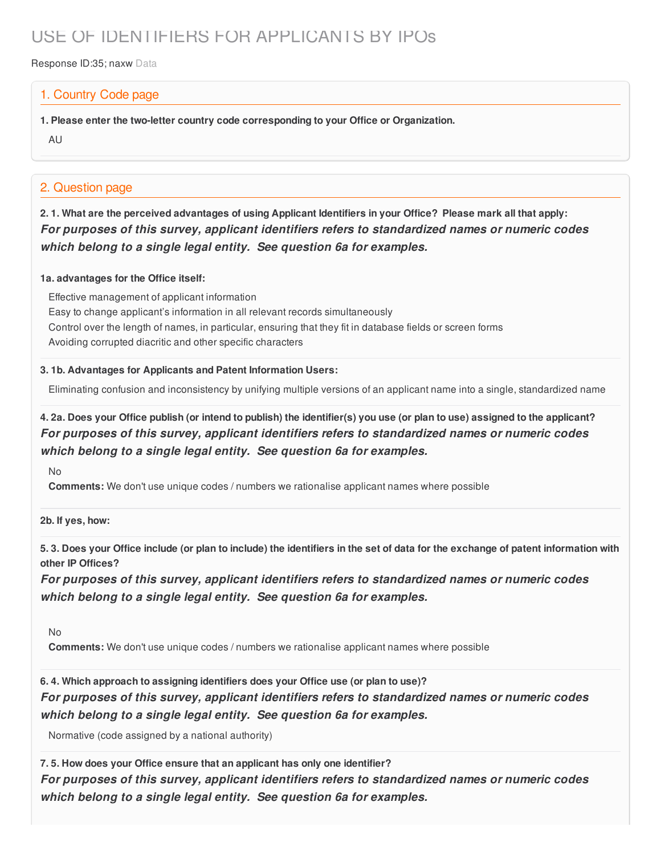# USE OF IDENTIFIERS FOR APPLICANTS BY IPOs

Response ID:35; naxw Data

### 1. Country Code page

**1. Please enter the two-letter country code corresponding to your Office or Organization.**

AU

### 2. Question page

2.1. What are the perceived advantages of using Applicant Identifiers in your Office? Please mark all that apply: *For purposes of this survey, applicant identifiers refers to standardized names or numeric codes which belong to a single legal entity. See question 6a for examples.*

### **1a. advantages for the Office itself:**

Effective management of applicant information Easy to change applicant's information in all relevant records simultaneously Control over the length of names, in particular, ensuring that they fit in database fields or screen forms Avoiding corrupted diacritic and other specific characters

### **3. 1b. Advantages for Applicants and Patent Information Users:**

Eliminating confusion and inconsistency by unifying multiple versions of an applicant name into a single, standardized name

### 4. 2a. Does your Office publish (or intend to publish) the identifier(s) you use (or plan to use) assigned to the applicant? *For purposes of this survey, applicant identifiers refers to standardized names or numeric codes which belong to a single legal entity. See question 6a for examples.*

No

**Comments:** We don't use unique codes / numbers we rationalise applicant names where possible

**2b. If yes, how:**

5.3. Does your Office include (or plan to include) the identifiers in the set of data for the exchange of patent information with **other IP Offices?**

*For purposes of this survey, applicant identifiers refers to standardized names or numeric codes which belong to a single legal entity. See question 6a for examples.*

No

**Comments:** We don't use unique codes / numbers we rationalise applicant names where possible

**6. 4. Which approach to assigning identifiers does your Office use (or plan to use)?** *For purposes of this survey, applicant identifiers refers to standardized names or numeric codes which belong to a single legal entity. See question 6a for examples.*

Normative (code assigned by a national authority)

**7. 5. How does your Office ensure that an applicant has only one identifier?**

*For purposes of this survey, applicant identifiers refers to standardized names or numeric codes which belong to a single legal entity. See question 6a for examples.*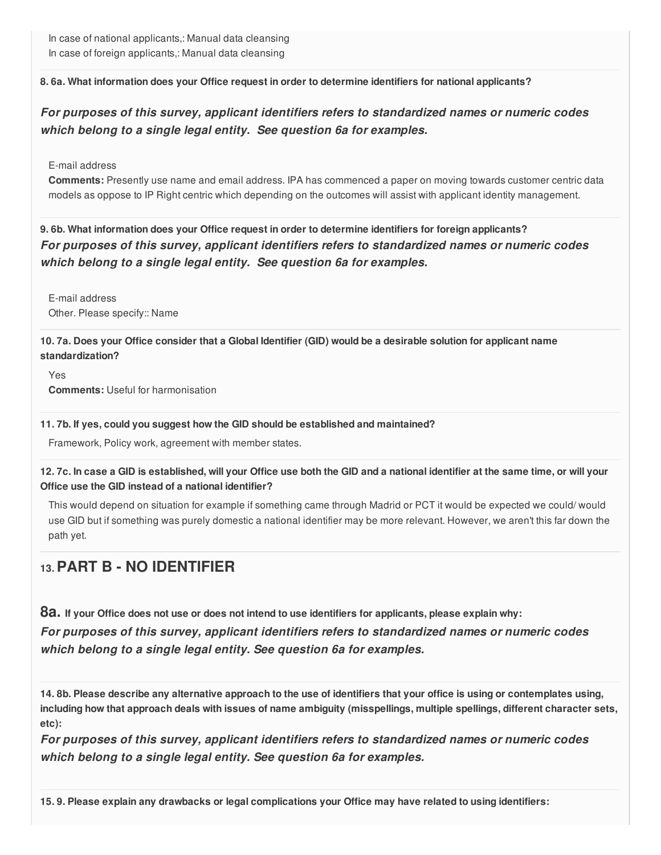**8. 6a. What information does your Office request in order to determine identifiers for national applicants?**

*For purposes of this survey, applicant identifiers refers to standardized names or numeric codes which belong to a single legal entity. See question 6a for examples.*

E-mail address

**Comments:** Presently use name and email address. IPA has commenced a paper on moving towards customer centric data models as oppose to IP Right centric which depending on the outcomes will assist with applicant identity management.

**9. 6b. What information does your Office request in order to determine identifiers for foreign applicants?** *For purposes of this survey, applicant identifiers refers to standardized names or numeric codes which belong to a single legal entity. See question 6a for examples.*

E-mail address Other. Please specify:: Name

10.7a. Does your Office consider that a Global Identifier (GID) would be a desirable solution for applicant name **standardization?**

Yes **Comments:** Useful for harmonisation

#### **11. 7b. If yes, could you suggest how the GID should be established and maintained?**

Framework, Policy work, agreement with member states.

12.7c. In case a GID is established, will your Office use both the GID and a national identifier at the same time, or will your **Office use the GID instead of a national identifier?**

This would depend on situation for example if something came through Madrid or PCT it would be expected we could/ would use GID but if something was purely domestic a national identifier may be more relevant. However, we aren't this far down the path yet.

## **13.PART B - NO IDENTIFIER**

8a. If your Office does not use or does not intend to use identifiers for applicants, please explain why: *For purposes of this survey, applicant identifiers refers to standardized names or numeric codes which belong to a single legal entity. See question 6a for examples.*

14.8b. Please describe any alternative approach to the use of identifiers that your office is using or contemplates using, including how that approach deals with issues of name ambiguity (misspellings, multiple spellings, different character sets, **etc):**

*For purposes of this survey, applicant identifiers refers to standardized names or numeric codes which belong to a single legal entity. See question 6a for examples.*

15.9. Please explain any drawbacks or legal complications your Office may have related to using identifiers: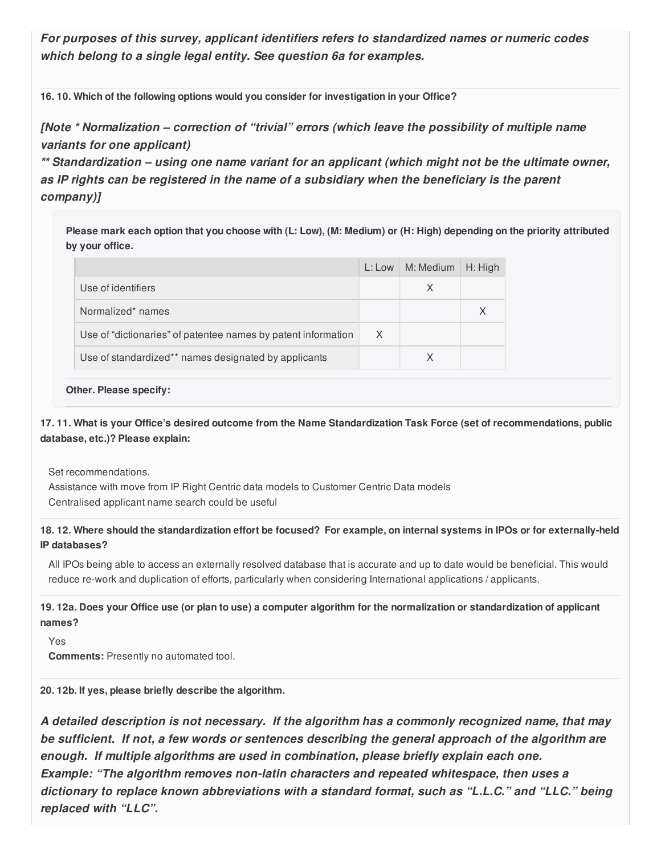*For purposes of this survey, applicant identifiers refers to standardized names or numeric codes which belong to a single legal entity. See question 6a for examples.*

**16. 10. Which of the following options would you consider for investigation in your Office?**

*[Note \* Normalization – correction of "trivial" errors (which leave the possibility of multiple name variants for one applicant)*

*\*\* Standardization – using one name variant for an applicant (which might not be the ultimate owner, as IP rights can be registered in the name of a subsidiary when the beneficiary is the parent company)]*

Please mark each option that you choose with (L: Low), (M: Medium) or (H: High) depending on the priority attributed **by your office.**

|                                                               | L: Low | M: Medium | $H:$ High |
|---------------------------------------------------------------|--------|-----------|-----------|
| Use of identifiers                                            |        | X         |           |
| Normalized* names                                             |        |           |           |
| Use of "dictionaries" of patentee names by patent information | X      |           |           |
| Use of standardized** names designated by applicants          |        | X         |           |

#### **Other. Please specify:**

17.11. What is your Office's desired outcome from the Name Standardization Task Force (set of recommendations, public **database, etc.)? Please explain:**

Set recommendations.

Assistance with move from IP Right Centric data models to Customer Centric Data models Centralised applicant name search could be useful

18.12. Where should the standardization effort be focused? For example, on internal systems in IPOs or for externally-held **IP databases?**

All IPOs being able to access an externally resolved database that is accurate and up to date would be beneficial. This would reduce re-work and duplication of efforts, particularly when considering International applications / applicants.

19.12a. Does your Office use (or plan to use) a computer algorithm for the normalization or standardization of applicant **names?**

Yes **Comments:** Presently no automated tool.

**20. 12b. If yes, please briefly describe the algorithm.**

*A detailed description is not necessary. If the algorithm has a commonly recognized name, that may be sufficient. If not, a few words or sentences describing the general approach of the algorithm are enough. If multiple algorithms are used in combination, please briefly explain each one. Example: "The algorithm removes non-latin characters and repeated whitespace, then uses a dictionary to replace known abbreviations with a standard format, such as "L.L.C." and "LLC." being replaced with "LLC".*